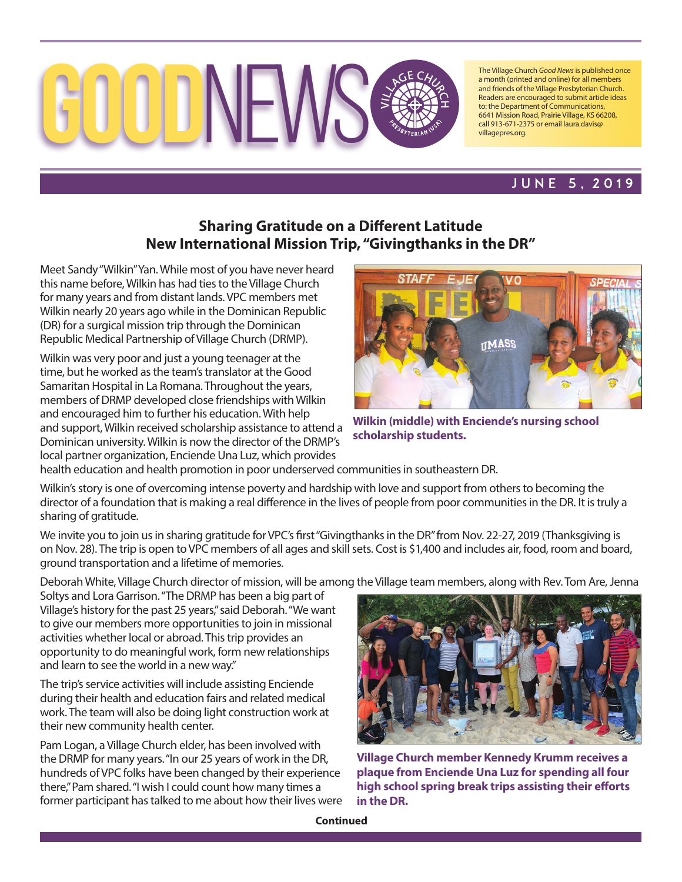

The Village Church *Good News* is published once a month (printed and online) for all members and friends of the Village Presbyterian Church. Readers are encouraged to submit article ideas to: the Department of Communications, 6641 Mission Road, Prairie Village, KS 66208, call 913-671-2375 or email laura.davis@ villagepres.org.

## june 5, 2019

## **Sharing Gratitude on a Different Latitude New International Mission Trip, "Givingthanks in the DR"**

Meet Sandy "Wilkin" Yan. While most of you have never heard this name before, Wilkin has had ties to the Village Church for many years and from distant lands. VPC members met Wilkin nearly 20 years ago while in the Dominican Republic (DR) for a surgical mission trip through the Dominican Republic Medical Partnership of Village Church (DRMP).

Wilkin was very poor and just a young teenager at the time, but he worked as the team's translator at the Good Samaritan Hospital in La Romana. Throughout the years, members of DRMP developed close friendships with Wilkin and encouraged him to further his education. With help and support, Wilkin received scholarship assistance to attend a Dominican university. Wilkin is now the director of the DRMP's local partner organization, Enciende Una Luz, which provides



**Wilkin (middle) with Enciende's nursing school scholarship students.**

health education and health promotion in poor underserved communities in southeastern DR.

Wilkin's story is one of overcoming intense poverty and hardship with love and support from others to becoming the director of a foundation that is making a real difference in the lives of people from poor communities in the DR. It is truly a sharing of gratitude.

We invite you to join us in sharing gratitude for VPC's first "Givingthanks in the DR" from Nov. 22-27, 2019 (Thanksgiving is on Nov. 28). The trip is open to VPC members of all ages and skill sets. Cost is \$1,400 and includes air, food, room and board, ground transportation and a lifetime of memories.

Deborah White, Village Church director of mission, will be among the Village team members, along with Rev. Tom Are, Jenna

Soltys and Lora Garrison. "The DRMP has been a big part of Village's history for the past 25 years," said Deborah. "We want to give our members more opportunities to join in missional activities whether local or abroad. This trip provides an opportunity to do meaningful work, form new relationships and learn to see the world in a new way."

The trip's service activities will include assisting Enciende during their health and education fairs and related medical work. The team will also be doing light construction work at their new community health center.

Pam Logan, a Village Church elder, has been involved with the DRMP for many years. "In our 25 years of work in the DR, hundreds of VPC folks have been changed by their experience there," Pam shared. "I wish I could count how many times a former participant has talked to me about how their lives were



**Village Church member Kennedy Krumm receives a plaque from Enciende Una Luz for spending all four high school spring break trips assisting their efforts in the DR.**

**Continued**